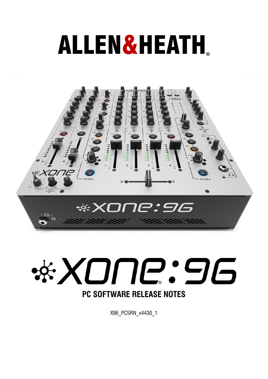# ALLEN&HEATH**®**





X96\_PCSRN\_v4430\_1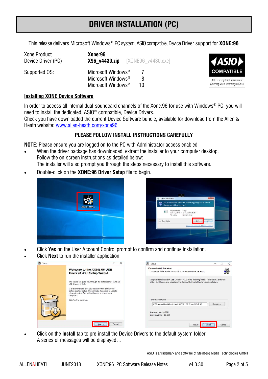This release delivers Microsoft Windows® PC system, ASIOcompatible, Device Driver support for **XONE:96** 

| Xone Product       | Xone:96                                                                                                       |
|--------------------|---------------------------------------------------------------------------------------------------------------|
| Device Driver (PC) |                                                                                                               |
| Supported OS:      | Microsoft Windows <sup>®</sup><br>Microsoft Windows <sup>®</sup><br>8<br>Microsoft Windows <sup>®</sup><br>10 |



#### **Installing XONE Device Software**

In order to access all internal dual-soundcard channels of the Xone:96 for use with Windows® PC, you will need to install the dedicated, ASIO® compatible, Device Drivers.

Check you have downloaded the current Device Software bundle, available for download from the Allen & Heath website: [www.allen-heath.com/xone96](http://www.allen-heath.com/ahproducts/xone96/#tab5)

## **PLEASE FOLLOW INSTALL INSTRUCTIONS CAREFULLY**

**NOTE:** Please ensure you are logged on to the PC with Administrator access enabled

• When the driver package has downloaded, extract the installer to your computer desktop. Follow the on-screen instructions as detailed below:

The installer will also prompt you through the steps necessary to install this software.

• Double-click on the **XONE:96 Driver Setup** file to begin.





- Click **Yes** on the User Account Control prompt to confirm and continue installation.
- Click **Next** to run the installer application.

| setup | $\times$<br>$\sim$                                                                                                                                                                         | <b>国</b> Setup<br>$\times$<br>$\sim$                                                                                                                                                         |
|-------|--------------------------------------------------------------------------------------------------------------------------------------------------------------------------------------------|----------------------------------------------------------------------------------------------------------------------------------------------------------------------------------------------|
|       | Welcome to the XONE 96 USB<br>Driver v4.43.0 Setup Wizard                                                                                                                                  | <b>Choose Install Location</b><br>丹<br>Choose the folder in which to install XONE 96 USB Driver v4.43.0.                                                                                     |
|       | This wizard will guide you through the installation of XONE 96<br>USB Driver v4.43.0.                                                                                                      | Setup will install XONE 96 USB Driver v4.43.0 in the following folder. To install in a different<br>folder, click Browse and select another folder. Click Install to start the installation. |
|       | It is recommended that you close all other applications<br>before starting Setup. This will make it possible to update<br>relevant system files without having to reboot your<br>computer. |                                                                                                                                                                                              |
|       | Click Next to continue.                                                                                                                                                                    | Destination Folder                                                                                                                                                                           |
|       |                                                                                                                                                                                            | C: \Program Files\Allen & Heath\XONE USB Driver\XONE 96<br>Browse                                                                                                                            |
|       |                                                                                                                                                                                            | Space required: 4.7MB<br>Space available: 80.3GB                                                                                                                                             |
|       | <b>Information constructs</b><br>Cancel<br>Next ><br>-------                                                                                                                               | <b>******************</b><br>$<$ Back<br>Install<br>Cancel                                                                                                                                   |

• Click on the **Install** tab to pre-install the Device Drivers to the default system folder. A series of messages will be displayed…

ASIO is a trademark and software of Steinberg Media Technologies GmbH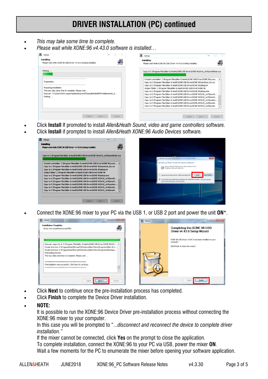## **DRIVER INSTALLATION (PC) continued**

- *This may take some time to complete.*
- *Please wait while XONE:96 v4.43.0 software is installed…*



- Click **Install** If promoted to install *Allen&Heath Sound, video and game controllers* software.
- Click **Install** if prompted to install *Allen&Heath XONE:96 Audio Devices* software.



• Connect the XONE:96 mixer to your PC via the USB 1, or USB 2 port and power the unit **ON**\*.



- Click **Next** to continue once the pre-installation process has completed.
- Click **Finish** to complete the Device Driver installation.
- **NOTE:**

It is possible to run the XONE:96 Device Driver pre-installation process without connecting the XONE:96 mixer to your computer.

In this case you will be prompted to "...*disconnect and reconnect the device to complete driver installation."*

If the mixer cannot be connected, click **Yes** on the prompt to close the application.

To complete installation, connect the XONE:96 to your PC via USB, power the mixer **ON**.

Wait a few moments for the PC to enumerate the mixer before opening your software application.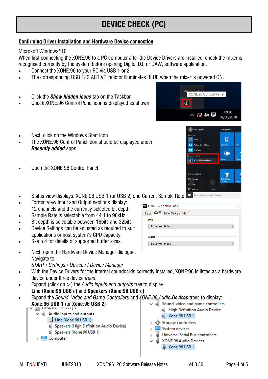# **DEVICE CHECK (PC)**

## **Confirming Driver Installation and Hardware Device connection**

### Microsoft Windows®10

When first connecting the XONE:96 to a PC computer after the Device Drivers are installed, check the mixer is recognised correctly by the system before opening Digital DJ, or DAW, software application.

- Connect the XONE:96 to your PC via USB 1 or 2
- The corresponding USB 1/ 2 ACTIVE indictor illuminates BLUE when the mixer is powered ON.
- Click the *Show hidden icons* tab on the Taskbar
- Check XONE:96 Control Panel icon is displayed as shown



R Tech support

- Next, click on the Windows Start icon.
- The XONE:96 Control Panel icon should be displayed under *Recently added* apps
- Open the XONE 96 Control Panel
- $\odot$ 圖 Traktor 2 m Ableton Live 9 Suite **a** Get Skyne  $\sum_{i=1}^{n}$ XONE 96 Control Pa **Ed Fie Fynlon** H  $50<sub>1</sub>$  Setting  $(1)$  Po t≡ Alla Search the web and Windows • Status view displays: XONE:96 USB 1 (or USB 2) and Current Sample Rate

Life at a glance

| XONE 96 Control Panel                            |  |
|--------------------------------------------------|--|
| Status Format Buffer Settings Info               |  |
| Input                                            |  |
| 12 channels, 16 bits<br>$\overline{\phantom{a}}$ |  |
| Output                                           |  |
| 12 channels, 16 bits                             |  |
|                                                  |  |

• Next, open the Hardware Device Manager dialogue. Navigate to: *START / Settings / Devices / Device Manager*

 $\vee$  **i** Audio inputs and outputs

Computer

ted Line (Xone 96 USB 1)

applications or host system's CPU capacity. See p.4 for details of supported buffer sizes.

• Format view Input and Output sections display: 12 channels and the currently selected bit depth. • Sample Rate is selectable from 44.1 to 96kHz. • Bit depth is selectable between 16bits and 32bits • Device Settings can be adjusted as required to suit

- With the Device Drivers for the internal soundcards correctly installed, XONE:96 is listed as a hardware device under three device *trees*.
- Expand (click on >) the *Audio inputs and outputs* tree to display: **Line (Xone:96 USB** *n***)** and **Speakers (Xone:96 USB** *n***)**

I Speakers (High Definition Audio Device)

- Expand the *Sound, Video and Game Controllers* and *XONE 96 Audio Devices* trees to display: **Xone:96 USB 1** (or **Xone:96 USB 2**) $\vee$  # Sound, video and game controllers High Definition Audio Device
	- Xone 96 USB 1 패
		- $\frac{1}{2}$  Storage controllers
		- > System devices
		- Universal Serial Bus controllers
		- XONE 96 Audio Devices
	- I Speakers (Xone 96 USB 1) Xone 96 USB 1